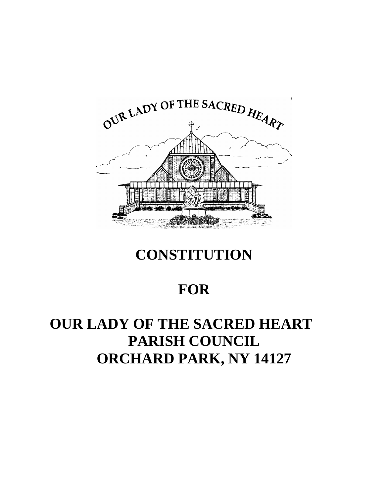

# **CONSTITUTION**

# **FOR**

# **OUR LADY OF THE SACRED HEART PARISH COUNCIL ORCHARD PARK, NY 14127**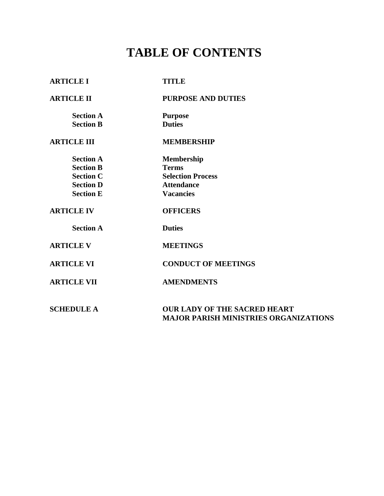# **TABLE OF CONTENTS**

| <b>ARTICLE I</b>   | <b>TITLE</b>                                                                        |
|--------------------|-------------------------------------------------------------------------------------|
| <b>ARTICLE II</b>  | <b>PURPOSE AND DUTIES</b>                                                           |
| <b>Section A</b>   | <b>Purpose</b>                                                                      |
| <b>Section B</b>   | <b>Duties</b>                                                                       |
| <b>ARTICLE III</b> | <b>MEMBERSHIP</b>                                                                   |
| <b>Section A</b>   | <b>Membership</b>                                                                   |
| <b>Section B</b>   | <b>Terms</b>                                                                        |
| <b>Section C</b>   | <b>Selection Process</b>                                                            |
| <b>Section D</b>   | <b>Attendance</b>                                                                   |
| <b>Section E</b>   | <b>Vacancies</b>                                                                    |
| <b>ARTICLE IV</b>  | <b>OFFICERS</b>                                                                     |
| <b>Section A</b>   | <b>Duties</b>                                                                       |
| <b>ARTICLE V</b>   | <b>MEETINGS</b>                                                                     |
| <b>ARTICLE VI</b>  | <b>CONDUCT OF MEETINGS</b>                                                          |
| <b>ARTICLE VII</b> | <b>AMENDMENTS</b>                                                                   |
| <b>SCHEDULE A</b>  | <b>OUR LADY OF THE SACRED HEART</b><br><b>MAJOR PARISH MINISTRIES ORGANIZATIONS</b> |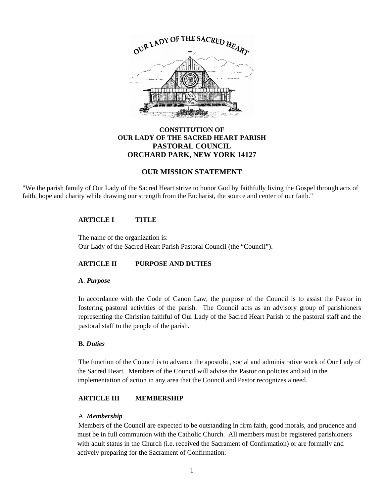

### **CONSTITUTION OF OUR LADY OF THE SACRED HEART PARISH PASTORAL COUNCIL ORCHARD PARK, NEW YORK 14127**

### **OUR MISSION STATEMENT**

"We the parish family of Our Lady of the Sacred Heart strive to honor God by faithfully living the Gospel through acts of faith, hope and charity while drawing our strength from the Eucharist, the source and center of our faith."

#### **ARTICLE I TITLE**

The name of the organization is: Our Lady of the Sacred Heart Parish Pastoral Council (the "Council").

### **ARTICLE II PURPOSE AND DUTIES**

#### **A**. *Purpose*

In accordance with the Code of Canon Law, the purpose of the Council is to assist the Pastor in fostering pastoral activities of the parish. The Council acts as an advisory group of parishioners representing the Christian faithful of Our Lady of the Sacred Heart Parish to the pastoral staff and the pastoral staff to the people of the parish.

#### **B.** *Duties*

The function of the Council is to advance the apostolic, social and administrative work of Our Lady of the Sacred Heart. Members of the Council will advise the Pastor on policies and aid in the implementation of action in any area that the Council and Pastor recognizes a need.

### **ARTICLE III MEMBERSHIP**

#### A. *Membership*

Members of the Council are expected to be outstanding in firm faith, good morals, and prudence and must be in full communion with the Catholic Church. All members must be registered parishioners with adult status in the Church (i.e. received the Sacrament of Confirmation) or are formally and actively preparing for the Sacrament of Confirmation.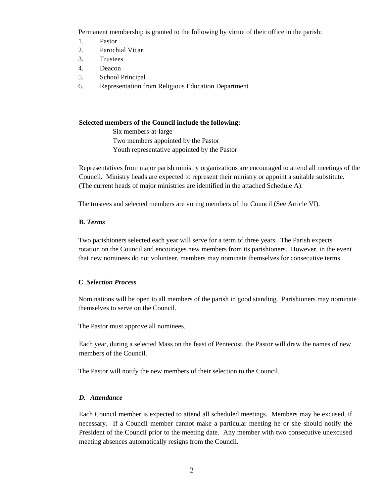Permanent membership is granted to the following by virtue of their office in the parish:

- 1. Pastor
- 2. Parochial Vicar
- 3. Trustees
- 4. Deacon
- 5. School Principal
- 6. Representation from Religious Education Department

#### **Selected members of the Council include the following:**

 Six members-at-large Two members appointed by the Pastor Youth representative appointed by the Pastor

Representatives from major parish ministry organizations are encouraged to attend all meetings of the Council. Ministry heads are expected to represent their ministry or appoint a suitable substitute. (The current heads of major ministries are identified in the attached Schedule A).

The trustees and selected members are voting members of the Council (See Article VI).

### **B***. Terms*

Two parishioners selected each year will serve for a term of three years. The Parish expects rotation on the Council and encourages new members from its parishioners. However, in the event that new nominees do not volunteer, members may nominate themselves for consecutive terms.

### **C**. *Selection Process*

Nominations will be open to all members of the parish in good standing. Parishioners may nominate themselves to serve on the Council.

The Pastor must approve all nominees.

Each year, during a selected Mass on the feast of Pentecost, the Pastor will draw the names of new members of the Council.

The Pastor will notify the new members of their selection to the Council.

#### *D. Attendance*

Each Council member is expected to attend all scheduled meetings. Members may be excused, if necessary. If a Council member cannot make a particular meeting he or she should notify the President of the Council prior to the meeting date. Any member with two consecutive unexcused meeting absences automatically resigns from the Council.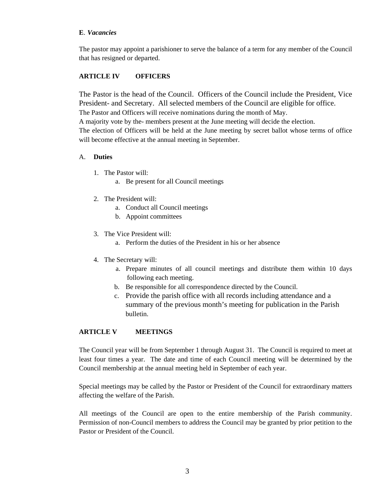#### **E**. *Vacancies*

The pastor may appoint a parishioner to serve the balance of a term for any member of the Council that has resigned or departed.

# **ARTICLE IV OFFICERS**

The Pastor is the head of the Council. Officers of the Council include the President, Vice President- and Secretary. All selected members of the Council are eligible for office. The Pastor and Officers will receive nominations during the month of May.

A majority vote by the- members present at the June meeting will decide the election.

The election of Officers will be held at the June meeting by secret ballot whose terms of office will become effective at the annual meeting in September.

### A. **Duties**

- 1. The Pastor will:
	- a. Be present for all Council meetings
- 2. The President will:
	- a. Conduct all Council meetings
	- b. Appoint committees
- 3. The Vice President will:
	- a. Perform the duties of the President in his or her absence
- 4. The Secretary will:
	- a. Prepare minutes of all council meetings and distribute them within 10 days following each meeting.
	- b. Be responsible for all correspondence directed by the Council.
	- c. Provide the parish office with all records including attendance and a summary of the previous month's meeting for publication in the Parish bulletin.

### **ARTICLE V MEETINGS**

The Council year will be from September 1 through August 31. The Council is required to meet at least four times a year. The date and time of each Council meeting will be determined by the Council membership at the annual meeting held in September of each year.

Special meetings may be called by the Pastor or President of the Council for extraordinary matters affecting the welfare of the Parish.

All meetings of the Council are open to the entire membership of the Parish community. Permission of non-Council members to address the Council may be granted by prior petition to the Pastor or President of the Council.